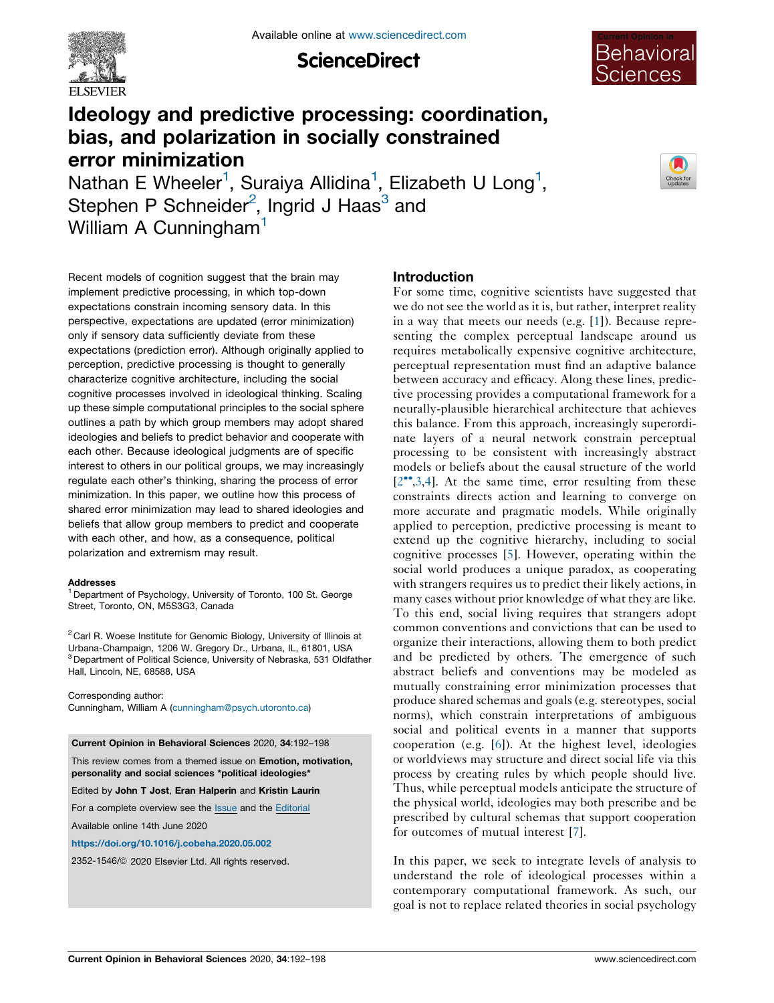

**ScienceDirect** 



# Ideology and predictive processing: coordination, bias, and polarization in socially constrained error minimization

Nathan E Wheeler<sup>1</sup>, Suraiya Allidina<sup>1</sup>, Elizabeth U Long<sup>1</sup>, Stephen P Schneider<sup>2</sup>, Ingrid J Haas<sup>3</sup> and William A Cunningham<sup>1</sup>



Recent models of cognition suggest that the brain may implement predictive processing, in which top-down expectations constrain incoming sensory data. In this perspective, expectations are updated (error minimization) only if sensory data sufficiently deviate from these expectations (prediction error). Although originally applied to perception, predictive processing is thought to generally characterize cognitive architecture, including the social cognitive processes involved in ideological thinking. Scaling up these simple computational principles to the social sphere outlines a path by which group members may adopt shared ideologies and beliefs to predict behavior and cooperate with each other. Because ideological judgments are of specific interest to others in our political groups, we may increasingly regulate each other's thinking, sharing the process of error minimization. In this paper, we outline how this process of shared error minimization may lead to shared ideologies and beliefs that allow group members to predict and cooperate with each other, and how, as a consequence, political polarization and extremism may result.

#### Addresses

<sup>1</sup> Department of Psychology, University of Toronto, 100 St. George Street, Toronto, ON, M5S3G3, Canada

<sup>2</sup> Carl R. Woese Institute for Genomic Biology, University of Illinois at Urbana-Champaign, 1206 W. Gregory Dr., Urbana, IL, 61801, USA <sup>3</sup> Department of Political Science, University of Nebraska, 531 Oldfather Hall, Lincoln, NE, 68588, USA

Corresponding author: Cunningham, William A ([cunningham@psych.utoronto.ca](mailto:cunningham@psych.utoronto.ca))

Current Opinion in Behavioral Sciences 2020, 34:192–198

This review comes from a themed issue on Emotion, motivation, personality and social sciences \*political ideologies\*

Edited by John T Jost, Eran Halperin and Kristin Laurin

For a complete overview see the **[Issue](http://www.sciencedirect.com/science/journal/23521546/34)** and the [Editorial](https://doi.org/10.1016/j.cobeha.2020.09.001)

Available online 14th June 2020

<https://doi.org/10.1016/j.cobeha.2020.05.002>

2352-1546/ã 2020 Elsevier Ltd. All rights reserved.

## Introduction

For some time, cognitive scientists have suggested that we do not see the world as it is, but rather, interpret reality in a way that meets our needs (e.g. [\[1](#page-4-0)]). Because representing the complex perceptual landscape around us requires metabolically expensive cognitive architecture, perceptual representation must find an adaptive balance between accuracy and efficacy. Along these lines, predictive processing provides a computational framework for a neurally-plausible hierarchical architecture that achieves this balance. From this approach, increasingly superordinate layers of a neural network constrain perceptual processing to be consistent with increasingly abstract models or beliefs about the causal structure of the world  $[2^{\bullet\bullet},3,4]$  $[2^{\bullet\bullet},3,4]$  $[2^{\bullet\bullet},3,4]$  $[2^{\bullet\bullet},3,4]$ . At the same time, error resulting from these constraints directs action and learning to converge on more accurate and pragmatic models. While originally applied to perception, predictive processing is meant to extend up the cognitive hierarchy, including to social cognitive processes [[5\]](#page-5-0). However, operating within the social world produces a unique paradox, as cooperating with strangers requires us to predict their likely actions, in many cases without prior knowledge of what they are like. To this end, social living requires that strangers adopt common conventions and convictions that can be used to organize their interactions, allowing them to both predict and be predicted by others. The emergence of such abstract beliefs and conventions may be modeled as mutually constraining error minimization processes that produce shared schemas and goals (e.g. stereotypes, social norms), which constrain interpretations of ambiguous social and political events in a manner that supports cooperation (e.g. [[6\]](#page-5-0)). At the highest level, ideologies or worldviews may structure and direct social life via this process by creating rules by which people should live. Thus, while perceptual models anticipate the structure of the physical world, ideologies may both prescribe and be prescribed by cultural schemas that support cooperation for outcomes of mutual interest [[7\]](#page-5-0).

In this paper, we seek to integrate levels of analysis to understand the role of ideological processes within a contemporary computational framework. As such, our goal is not to replace related theories in social psychology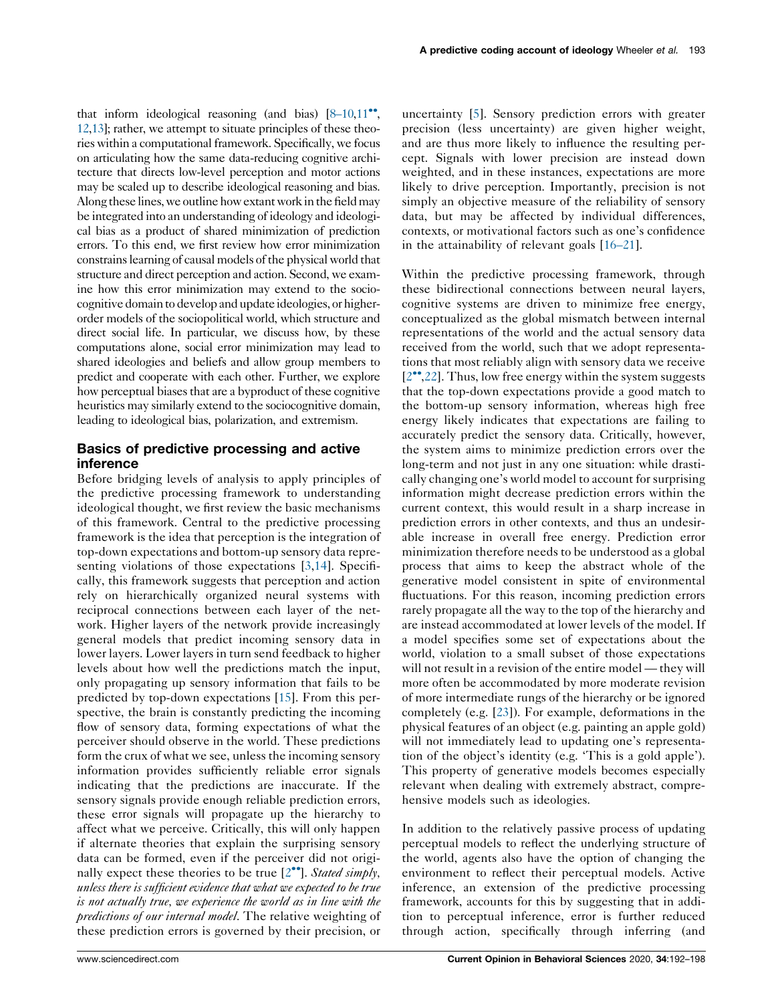that inform ideological reasoning (and bias)  $[8-10,11]$ , [12](#page-5-0),[13](#page-5-0)]; rather, we attempt to situate principles of these theories within a computational framework. Specifically, we focus on articulating how the same data-reducing cognitive architecture that directs low-level perception and motor actions may be scaled up to describe ideological reasoning and bias. Along these lines, we outline how extant work in the field may be integrated into an understanding of ideology and ideological bias as a product of shared minimization of prediction errors. To this end, we first review how error minimization constrains learning of causal models of the physical world that structure and direct perception and action. Second, we examine how this error minimization may extend to the sociocognitive domain to develop and update ideologies, or higherorder models of the sociopolitical world, which structure and direct social life. In particular, we discuss how, by these computations alone, social error minimization may lead to shared ideologies and beliefs and allow group members to predict and cooperate with each other. Further, we explore how perceptual biases that are a byproduct of these cognitive heuristics may similarly extend to the sociocognitive domain, leading to ideological bias, polarization, and extremism.

## Basics of predictive processing and active inference

Before bridging levels of analysis to apply principles of the predictive processing framework to understanding ideological thought, we first review the basic mechanisms of this framework. Central to the predictive processing framework is the idea that perception is the integration of top-down expectations and bottom-up sensory data repre-senting violations of those expectations [\[3](#page-4-0),[14\]](#page-5-0). Specifically, this framework suggests that perception and action rely on hierarchically organized neural systems with reciprocal connections between each layer of the network. Higher layers of the network provide increasingly general models that predict incoming sensory data in lower layers. Lower layers in turn send feedback to higher levels about how well the predictions match the input, only propagating up sensory information that fails to be predicted by top-down expectations [[15\]](#page-5-0). From this perspective, the brain is constantly predicting the incoming flow of sensory data, forming expectations of what the perceiver should observe in the world. These predictions form the crux of what we see, unless the incoming sensory information provides sufficiently reliable error signals indicating that the predictions are inaccurate. If the sensory signals provide enough reliable prediction errors, these error signals will propagate up the hierarchy to affect what we perceive. Critically, this will only happen if alternate theories that explain the surprising sensory data can be formed, even if the perceiver did not originally expect these theories to be true  $[2^{\bullet\bullet}]$ . Stated simply, unless there is sufficient evidence that what we expected to be true is not actually true, we experience the world as in line with the predictions of our internal model. The relative weighting of these prediction errors is governed by their precision, or

uncertainty [[5\]](#page-5-0). Sensory prediction errors with greater precision (less uncertainty) are given higher weight, and are thus more likely to influence the resulting percept. Signals with lower precision are instead down weighted, and in these instances, expectations are more likely to drive perception. Importantly, precision is not simply an objective measure of the reliability of sensory data, but may be affected by individual differences, contexts, or motivational factors such as one's confidence in the attainability of relevant goals [\[16–21](#page-5-0)].

Within the predictive processing framework, through these bidirectional connections between neural layers, cognitive systems are driven to minimize free energy, conceptualized as the global mismatch between internal representations of the world and the actual sensory data received from the world, such that we adopt representations that most reliably align with sensory data we receive  $[2^{\bullet\bullet}, 22]$ . Thus, low free energy within the system suggests that the top-down expectations provide a good match to the bottom-up sensory information, whereas high free energy likely indicates that expectations are failing to accurately predict the sensory data. Critically, however, the system aims to minimize prediction errors over the long-term and not just in any one situation: while drastically changing one's world model to account for surprising information might decrease prediction errors within the current context, this would result in a sharp increase in prediction errors in other contexts, and thus an undesirable increase in overall free energy. Prediction error minimization therefore needs to be understood as a global process that aims to keep the abstract whole of the generative model consistent in spite of environmental fluctuations. For this reason, incoming prediction errors rarely propagate all the way to the top of the hierarchy and are instead accommodated at lower levels of the model. If a model specifies some set of expectations about the world, violation to a small subset of those expectations will not result in a revision of the entire model — they will more often be accommodated by more moderate revision of more intermediate rungs of the hierarchy or be ignored completely (e.g. [\[23](#page-5-0)]). For example, deformations in the physical features of an object (e.g. painting an apple gold) will not immediately lead to updating one's representation of the object's identity (e.g. 'This is a gold apple'). This property of generative models becomes especially relevant when dealing with extremely abstract, comprehensive models such as ideologies.

In addition to the relatively passive process of updating perceptual models to reflect the underlying structure of the world, agents also have the option of changing the environment to reflect their perceptual models. Active inference, an extension of the predictive processing framework, accounts for this by suggesting that in addition to perceptual inference, error is further reduced through action, specifically through inferring (and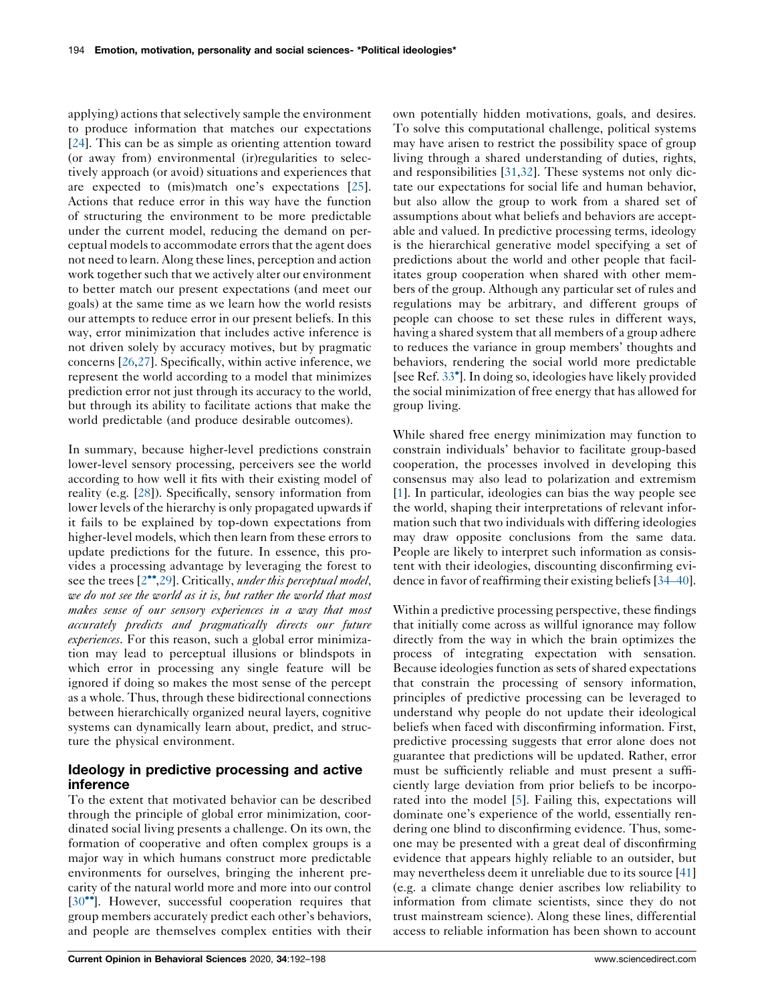applying) actions that selectively sample the environment to produce information that matches our expectations [\[24](#page-5-0)]. This can be as simple as orienting attention toward (or away from) environmental (ir)regularities to selectively approach (or avoid) situations and experiences that are expected to (mis)match one's expectations [\[25](#page-5-0)]. Actions that reduce error in this way have the function of structuring the environment to be more predictable under the current model, reducing the demand on perceptual models to accommodate errors that the agent does not need to learn. Along these lines, perception and action work together such that we actively alter our environment to better match our present expectations (and meet our goals) at the same time as we learn how the world resists our attempts to reduce error in our present beliefs. In this way, error minimization that includes active inference is not driven solely by accuracy motives, but by pragmatic concerns [[26,27](#page-5-0)]. Specifically, within active inference, we represent the world according to a model that minimizes prediction error not just through its accuracy to the world, but through its ability to facilitate actions that make the world predictable (and produce desirable outcomes).

In summary, because higher-level predictions constrain lower-level sensory processing, perceivers see the world according to how well it fits with their existing model of reality (e.g. [\[28](#page-5-0)]). Specifically, sensory information from lower levels of the hierarchy is only propagated upwards if it fails to be explained by top-down expectations from higher-level models, which then learn from these errors to update predictions for the future. In essence, this provides a processing advantage by leveraging the forest to see the trees  $[2^{\bullet\bullet}, 29]$ . Critically, *under this perceptual model*, we do not see the world as it is, but rather the world that most makes sense of our sensory experiences in a way that most accurately predicts and pragmatically directs our future experiences. For this reason, such a global error minimization may lead to perceptual illusions or blindspots in which error in processing any single feature will be ignored if doing so makes the most sense of the percept as a whole. Thus, through these bidirectional connections between hierarchically organized neural layers, cognitive systems can dynamically learn about, predict, and structure the physical environment.

## Ideology in predictive processing and active inference

To the extent that motivated behavior can be described through the principle of global error minimization, coordinated social living presents a challenge. On its own, the formation of cooperative and often complex groups is a major way in which humans construct more predictable environments for ourselves, bringing the inherent precarity of the natural world more and more into our control [\[30](#page-5-0)<sup>••</sup>]. However, successful cooperation requires that group members accurately predict each other's behaviors, and people are themselves complex entities with their

own potentially hidden motivations, goals, and desires. To solve this computational challenge, political systems may have arisen to restrict the possibility space of group living through a shared understanding of duties, rights, and responsibilities [[31,32](#page-5-0)]. These systems not only dictate our expectations for social life and human behavior, but also allow the group to work from a shared set of assumptions about what beliefs and behaviors are acceptable and valued. In predictive processing terms, ideology is the hierarchical generative model specifying a set of predictions about the world and other people that facilitates group cooperation when shared with other members of the group. Although any particular set of rules and regulations may be arbitrary, and different groups of people can choose to set these rules in different ways, having a shared system that all members of a group adhere to reduces the variance in group members' thoughts and behaviors, rendering the social world more predictable [see Ref. [33](#page-5-0) ].In doing so, ideologies have likely provided the social minimization of free energy that has allowed for group living.

While shared free energy minimization may function to constrain individuals' behavior to facilitate group-based cooperation, the processes involved in developing this consensus may also lead to polarization and extremism [\[1](#page-4-0)]. In particular, ideologies can bias the way people see the world, shaping their interpretations of relevant information such that two individuals with differing ideologies may draw opposite conclusions from the same data. People are likely to interpret such information as consistent with their ideologies, discounting disconfirming evidence in favor of reaffirming their existing beliefs[[34–40](#page-5-0)].

Within a predictive processing perspective, these findings that initially come across as willful ignorance may follow directly from the way in which the brain optimizes the process of integrating expectation with sensation. Because ideologies function assets of shared expectations that constrain the processing of sensory information, principles of predictive processing can be leveraged to understand why people do not update their ideological beliefs when faced with disconfirming information. First, predictive processing suggests that error alone does not guarantee that predictions will be updated. Rather, error must be sufficiently reliable and must present a sufficiently large deviation from prior beliefs to be incorporated into the model [\[5](#page-5-0)]. Failing this, expectations will dominate one's experience of the world, essentially rendering one blind to disconfirming evidence. Thus, someone may be presented with a great deal of disconfirming evidence that appears highly reliable to an outsider, but may nevertheless deem it unreliable due to its source [\[41\]](#page-5-0) (e.g. a climate change denier ascribes low reliability to information from climate scientists, since they do not trust mainstream science). Along these lines, differential access to reliable information has been shown to account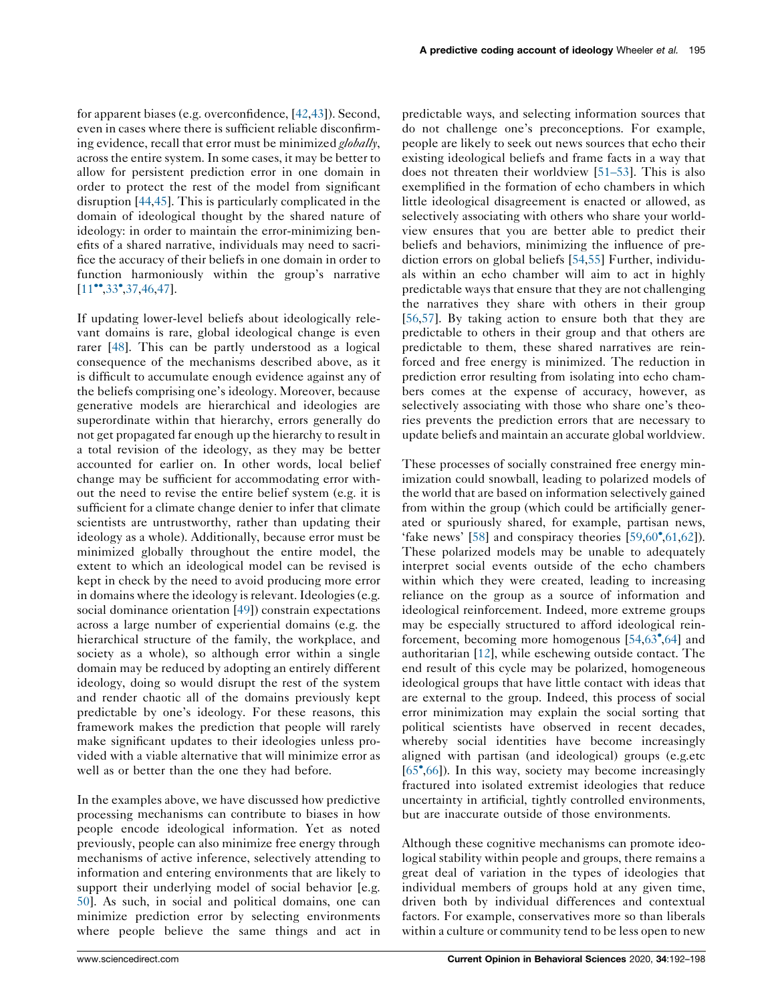for apparent biases (e.g. overconfidence, [\[42](#page-5-0),[43](#page-5-0)]). Second, even in cases where there is sufficient reliable disconfirming evidence, recall that error must be minimized globally, across the entire system. In some cases, it may be better to allow for persistent prediction error in one domain in order to protect the rest of the model from significant disruption [[44,45](#page-5-0)]. This is particularly complicated in the domain of ideological thought by the shared nature of ideology: in order to maintain the error-minimizing benefits of a shared narrative, individuals may need to sacrifice the accuracy of their beliefs in one domain in order to function harmoniously within the group's narrative  $[11$ <sup>\*</sup>,[33](#page-5-0)<sup>\*</sup>,[37,46](#page-5-0),[47\]](#page-6-0).

If updating lower-level beliefs about ideologically relevant domains is rare, global ideological change is even rarer [[48\]](#page-6-0). This can be partly understood as a logical consequence of the mechanisms described above, as it is difficult to accumulate enough evidence against any of the beliefs comprising one's ideology. Moreover, because generative models are hierarchical and ideologies are superordinate within that hierarchy, errors generally do not get propagated far enough up the hierarchy to result in a total revision of the ideology, as they may be better accounted for earlier on. In other words, local belief change may be sufficient for accommodating error without the need to revise the entire belief system (e.g. it is sufficient for a climate change denier to infer that climate scientists are untrustworthy, rather than updating their ideology as a whole). Additionally, because error must be minimized globally throughout the entire model, the extent to which an ideological model can be revised is kept in check by the need to avoid producing more error in domains where the ideology is relevant. Ideologies (e.g. social dominance orientation [[49\]](#page-6-0)) constrain expectations across a large number of experiential domains (e.g. the hierarchical structure of the family, the workplace, and society as a whole), so although error within a single domain may be reduced by adopting an entirely different ideology, doing so would disrupt the rest of the system and render chaotic all of the domains previously kept predictable by one's ideology. For these reasons, this framework makes the prediction that people will rarely make significant updates to their ideologies unless provided with a viable alternative that will minimize error as well as or better than the one they had before.

In the examples above, we have discussed how predictive processing mechanisms can contribute to biases in how people encode ideological information. Yet as noted previously, people can also minimize free energy through mechanisms of active inference, selectively attending to information and entering environments that are likely to support their underlying model of social behavior [e.g. [50\]](#page-6-0). As such, in social and political domains, one can minimize prediction error by selecting environments where people believe the same things and act in

predictable ways, and selecting information sources that do not challenge one's preconceptions. For example, people are likely to seek out news sources that echo their existing ideological beliefs and frame facts in a way that does not threaten their worldview [\[51–53](#page-6-0)]. This is also exemplified in the formation of echo chambers in which little ideological disagreement is enacted or allowed, as selectively associating with others who share your worldview ensures that you are better able to predict their beliefs and behaviors, minimizing the influence of prediction errors on global beliefs [\[54](#page-6-0),[55\]](#page-6-0) Further, individuals within an echo chamber will aim to act in highly predictable ways that ensure that they are not challenging the narratives they share with others in their group [[56](#page-6-0),[57\]](#page-6-0). By taking action to ensure both that they are predictable to others in their group and that others are predictable to them, these shared narratives are reinforced and free energy is minimized. The reduction in prediction error resulting from isolating into echo chambers comes at the expense of accuracy, however, as selectively associating with those who share one's theories prevents the prediction errors that are necessary to update beliefs and maintain an accurate global worldview.

These processes of socially constrained free energy minimization could snowball, leading to polarized models of the world that are based on information selectively gained from within the group (which could be artificially generated or spuriously shared, for example, partisan news, 'fake news' [\[58](#page-6-0)] and conspiracy theories  $[59,60^\circ, 61,62]$  $[59,60^\circ, 61,62]$  $[59,60^\circ, 61,62]$  $[59,60^\circ, 61,62]$  $[59,60^\circ, 61,62]$ ). These polarized models may be unable to adequately interpret social events outside of the echo chambers within which they were created, leading to increasing reliance on the group as a source of information and ideological reinforcement. Indeed, more extreme groups may be especially structured to afford ideological reinforcement, becoming more homogenous [[54,63](#page-6-0) [,64](#page-6-0)] and authoritarian [\[12](#page-5-0)], while eschewing outside contact. The end result of this cycle may be polarized, homogeneous ideological groups that have little contact with ideas that are external to the group. Indeed, this process of social error minimization may explain the social sorting that political scientists have observed in recent decades, whereby social identities have become increasingly aligned with partisan (and ideological) groups (e.g.etc [[65](#page-6-0) [,66](#page-6-0)]). In this way, society may become increasingly fractured into isolated extremist ideologies that reduce uncertainty in artificial, tightly controlled environments, but are inaccurate outside of those environments.

Although these cognitive mechanisms can promote ideological stability within people and groups, there remains a great deal of variation in the types of ideologies that individual members of groups hold at any given time, driven both by individual differences and contextual factors. For example, conservatives more so than liberals within a culture or community tend to be less open to new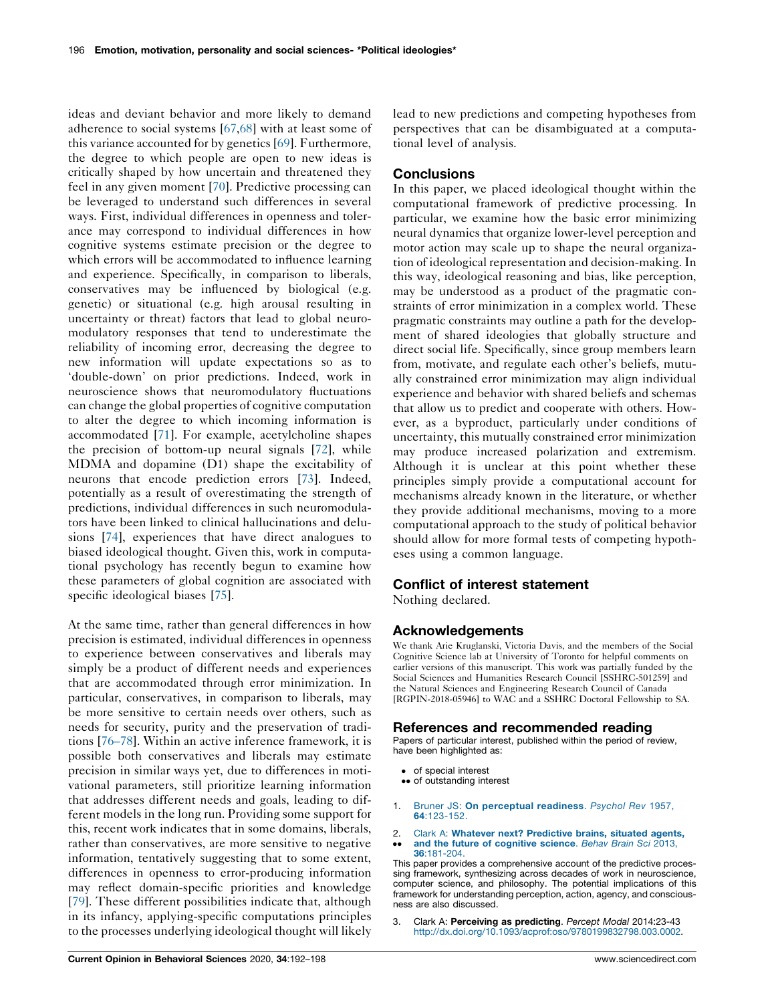<span id="page-4-0"></span>ideas and deviant behavior and more likely to demand adherence to social systems [\[67](#page-6-0),[68\]](#page-6-0) with at least some of this variance accounted for by genetics [[69\]](#page-6-0). Furthermore, the degree to which people are open to new ideas is critically shaped by how uncertain and threatened they feel in any given moment [\[70](#page-6-0)]. Predictive processing can be leveraged to understand such differences in several ways. First, individual differences in openness and tolerance may correspond to individual differences in how cognitive systems estimate precision or the degree to which errors will be accommodated to influence learning and experience. Specifically, in comparison to liberals, conservatives may be influenced by biological (e.g. genetic) or situational (e.g. high arousal resulting in uncertainty or threat) factors that lead to global neuromodulatory responses that tend to underestimate the reliability of incoming error, decreasing the degree to new information will update expectations so as to 'double-down' on prior predictions. Indeed, work in neuroscience shows that neuromodulatory fluctuations can change the global properties of cognitive computation to alter the degree to which incoming information is accommodated [[71\]](#page-6-0). For example, acetylcholine shapes the precision of bottom-up neural signals [[72\]](#page-6-0), while MDMA and dopamine (D1) shape the excitability of neurons that encode prediction errors [[73\]](#page-6-0). Indeed, potentially as a result of overestimating the strength of predictions, individual differences in such neuromodulators have been linked to clinical hallucinations and delusions [[74\]](#page-6-0), experiences that have direct analogues to biased ideological thought. Given this, work in computational psychology has recently begun to examine how these parameters of global cognition are associated with specific ideological biases [[75\]](#page-6-0).

At the same time, rather than general differences in how precision is estimated, individual differences in openness to experience between conservatives and liberals may simply be a product of different needs and experiences that are accommodated through error minimization. In particular, conservatives, in comparison to liberals, may be more sensitive to certain needs over others, such as needs for security, purity and the preservation of traditions [\[76–78](#page-6-0)]. Within an active inference framework, it is possible both conservatives and liberals may estimate precision in similar ways yet, due to differences in motivational parameters, still prioritize learning information that addresses different needs and goals, leading to different models in the long run. Providing some support for this, recent work indicates that in some domains, liberals, rather than conservatives, are more sensitive to negative information, tentatively suggesting that to some extent, differences in openness to error-producing information may reflect domain-specific priorities and knowledge [\[79](#page-6-0)]. These different possibilities indicate that, although in its infancy, applying-specific computations principles to the processes underlying ideological thought will likely lead to new predictions and competing hypotheses from perspectives that can be disambiguated at a computational level of analysis.

## **Conclusions**

In this paper, we placed ideological thought within the computational framework of predictive processing. In particular, we examine how the basic error minimizing neural dynamics that organize lower-level perception and motor action may scale up to shape the neural organization of ideological representation and decision-making. In this way, ideological reasoning and bias, like perception, may be understood as a product of the pragmatic constraints of error minimization in a complex world. These pragmatic constraints may outline a path for the development of shared ideologies that globally structure and direct social life. Specifically, since group members learn from, motivate, and regulate each other's beliefs, mutually constrained error minimization may align individual experience and behavior with shared beliefs and schemas that allow us to predict and cooperate with others. However, as a byproduct, particularly under conditions of uncertainty, this mutually constrained error minimization may produce increased polarization and extremism. Although it is unclear at this point whether these principles simply provide a computational account for mechanisms already known in the literature, or whether they provide additional mechanisms, moving to a more computational approach to the study of political behavior should allow for more formal tests of competing hypotheses using a common language.

### Conflict of interest statement

Nothing declared.

#### Acknowledgements

We thank Arie Kruglanski, Victoria Davis, and the members of the Social Cognitive Science lab at University of Toronto for helpful comments on earlier versions of this manuscript. This work was partially funded by the Social Sciences and Humanities Research Council [SSHRC-501259] and the Natural Sciences and Engineering Research Council of Canada [RGPIN-2018-05946] to WAC and a SSHRC Doctoral Fellowship to SA.

#### References and recommended reading

Papers of particular interest, published within the period of review, have been highlighted as:

- of special interest
- •• of outstanding interest
- 1. Bruner JS: On [perceptual](http://refhub.elsevier.com/S2352-1546(20)30063-2/sbref0005) readiness. Psychol Rev 1957, 64[:123-152.](http://refhub.elsevier.com/S2352-1546(20)30063-2/sbref0005)
- 2.  $\bullet$ Clark A: Whatever next? [Predictive](http://refhub.elsevier.com/S2352-1546(20)30063-2/sbref0010) brains, situated agents, and the future of [cognitive](http://refhub.elsevier.com/S2352-1546(20)30063-2/sbref0010) science. Behav Brain Sci 2013, 36[:181-204.](http://refhub.elsevier.com/S2352-1546(20)30063-2/sbref0010)

This paper provides a comprehensive account of the predictive processing framework, synthesizing across decades of work in neuroscience, computer science, and philosophy. The potential implications of this framework for understanding perception, action, agency, and consciousness are also discussed.

3. Clark A: Perceiving as predicting. Percept Modal 2014:23-43 [http://dx.doi.org/10.1093/acprof:oso/9780199832798.003.0002.](http://dx.doi.org/10.1093/acprof:oso/9780199832798.003.0002)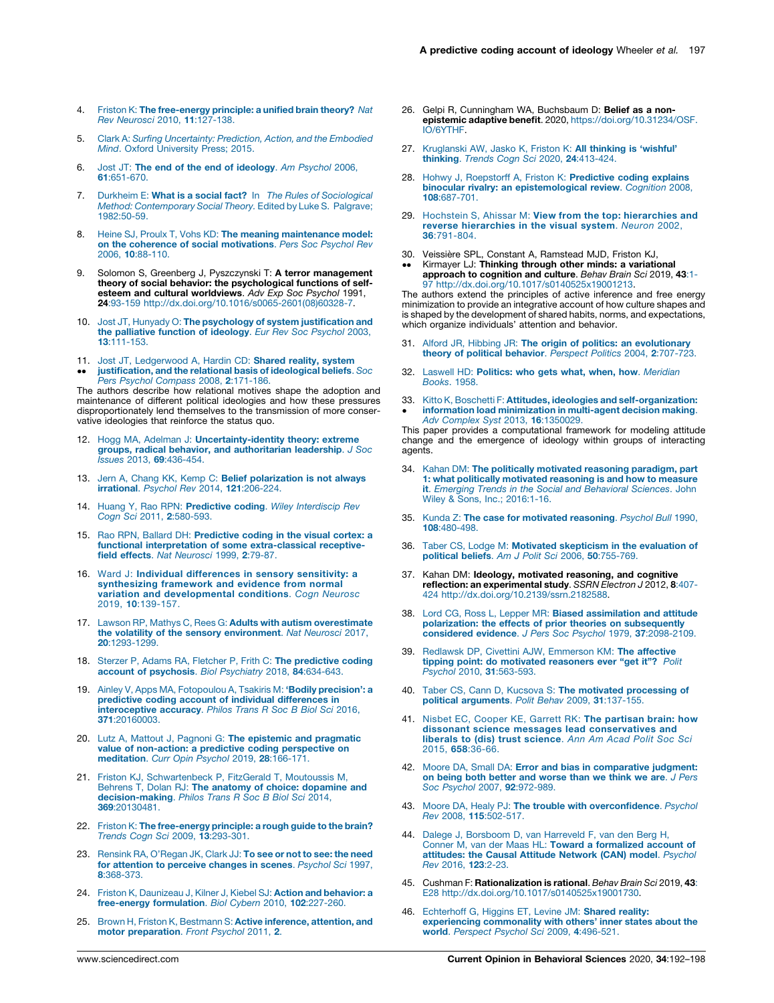- <span id="page-5-0"></span>4. Friston K: The [free-energy](http://refhub.elsevier.com/S2352-1546(20)30063-2/sbref0020) principle: a unified brain theory? Nat Rev Neurosci 2010, 11[:127-138.](http://refhub.elsevier.com/S2352-1546(20)30063-2/sbref0020)
- 5. Clark A: Surfing [Uncertainty:](http://refhub.elsevier.com/S2352-1546(20)30063-2/sbref0025) Prediction, Action, and the Embodied Mind. Oxford [University](http://refhub.elsevier.com/S2352-1546(20)30063-2/sbref0025) Press; 2015.
- 6. Jost JT: The end of the end of [ideology](http://refhub.elsevier.com/S2352-1546(20)30063-2/sbref0030). Am Psychol 2006, 61[:651-670.](http://refhub.elsevier.com/S2352-1546(20)30063-2/sbref0030)
- 7. Durkheim E: What is a social fact? In The Rules of [Sociological](http://refhub.elsevier.com/S2352-1546(20)30063-2/sbref0035) Method: [Contemporary](http://refhub.elsevier.com/S2352-1546(20)30063-2/sbref0035) Social Theory. Edited by Luke S. Palgrave; [1982:50-59](http://refhub.elsevier.com/S2352-1546(20)30063-2/sbref0035).
- 8. Heine SJ, Proulx T, Vohs KD: The meaning [maintenance](http://refhub.elsevier.com/S2352-1546(20)30063-2/sbref0040) model: on the coherence of social [motivations](http://refhub.elsevier.com/S2352-1546(20)30063-2/sbref0040). Pers Soc Psychol Rev 2006, 10[:88-110.](http://refhub.elsevier.com/S2352-1546(20)30063-2/sbref0040)
- 9. Solomon S, Greenberg J, Pyszczynski T: A terror management theory of social behavior: the psychological functions of selfesteem and cultural worldviews. Adv Exp Soc Psychol 1991, 24:93-159 [http://dx.doi.org/10.1016/s0065-2601\(08\)60328-7](http://dx.doi.org/10.1016/s0065-2601(08)60328-7).
- 10. Jost JT, Hunyady O: The psychology of system [justification](http://refhub.elsevier.com/S2352-1546(20)30063-2/sbref0050) and the [palliative](http://refhub.elsevier.com/S2352-1546(20)30063-2/sbref0050) function of ideology. Eur Rev Soc Psychol 2003, 13[:111-153.](http://refhub.elsevier.com/S2352-1546(20)30063-2/sbref0050)
- 11. Jost JT, [Ledgerwood](http://refhub.elsevier.com/S2352-1546(20)30063-2/sbref0055) A, Hardin CD: Shared reality, system
- $\bullet\bullet$ [justification,](http://refhub.elsevier.com/S2352-1546(20)30063-2/sbref0055) and the relational basis of ideological beliefs. Soc Pers Psychol Compass 2008, 2[:171-186.](http://refhub.elsevier.com/S2352-1546(20)30063-2/sbref0055)

The authors describe how relational motives shape the adoption and maintenance of different political ideologies and how these pressures disproportionately lend themselves to the transmission of more conservative ideologies that reinforce the status quo.

- 12. Hogg MA, Adelman J: [Uncertainty-identity](http://refhub.elsevier.com/S2352-1546(20)30063-2/sbref0060) theory: extreme groups, radical behavior, and [authoritarian](http://refhub.elsevier.com/S2352-1546(20)30063-2/sbref0060) leadership. J Soc Issues 2013, 69[:436-454.](http://refhub.elsevier.com/S2352-1546(20)30063-2/sbref0060)
- 13. Jern A, Chang KK, Kemp C: Belief [polarization](http://refhub.elsevier.com/S2352-1546(20)30063-2/sbref0065) is not always irrational. Psychol Rev 2014, 121[:206-224.](http://refhub.elsevier.com/S2352-1546(20)30063-2/sbref0065)
- 14. Huang Y, Rao RPN: [Predictive](http://refhub.elsevier.com/S2352-1546(20)30063-2/sbref0070) coding. Wiley Interdiscip Rev Cogn Sci 2011, 2[:580-593.](http://refhub.elsevier.com/S2352-1546(20)30063-2/sbref0070)
- 15. Rao RPN, Ballard DH: [Predictive](http://refhub.elsevier.com/S2352-1546(20)30063-2/sbref0075) coding in the visual cortex: a functional interpretation of some [extra-classical](http://refhub.elsevier.com/S2352-1546(20)30063-2/sbref0075) receptive-field effects. Nat [Neurosci](http://refhub.elsevier.com/S2352-1546(20)30063-2/sbref0075) 1999, 2:79-87.
- 16. Ward J: Individual [differences](http://refhub.elsevier.com/S2352-1546(20)30063-2/sbref0080) in sensory sensitivity: a [synthesizing](http://refhub.elsevier.com/S2352-1546(20)30063-2/sbref0080) framework and evidence from normal variation and [developmental](http://refhub.elsevier.com/S2352-1546(20)30063-2/sbref0080) conditions. Cogn Neurosc 2019, 10[:139-157.](http://refhub.elsevier.com/S2352-1546(20)30063-2/sbref0080)
- 17. Lawson RP, Mathys C, Rees G: Adults with autism [overestimate](http://refhub.elsevier.com/S2352-1546(20)30063-2/sbref0085) the volatility of the sensory [environment](http://refhub.elsevier.com/S2352-1546(20)30063-2/sbref0085). Nat Neurosci 2017, 20[:1293-1299.](http://refhub.elsevier.com/S2352-1546(20)30063-2/sbref0085)
- 18. Sterzer P, Adams RA, Fletcher P, Frith C: The [predictive](http://refhub.elsevier.com/S2352-1546(20)30063-2/sbref0090) coding account of [psychosis](http://refhub.elsevier.com/S2352-1546(20)30063-2/sbref0090). Biol Psychiatry 2018, 84:634-643.
- 19. Ainley V, Apps MA, [Fotopoulou](http://refhub.elsevier.com/S2352-1546(20)30063-2/sbref0095) A, Tsakiris M: 'Bodily precision': a predictive coding account of individual [differences](http://refhub.elsevier.com/S2352-1546(20)30063-2/sbref0095) in [interoceptive](http://refhub.elsevier.com/S2352-1546(20)30063-2/sbref0095) accuracy. Philos Trans R Soc B Biol Sci 2016, 371[:20160003.](http://refhub.elsevier.com/S2352-1546(20)30063-2/sbref0095)
- 20. Lutz A, Mattout J, Pagnoni G: The epistemic and [pragmatic](http://refhub.elsevier.com/S2352-1546(20)30063-2/sbref0100) value of non-action: a predictive coding [perspective](http://refhub.elsevier.com/S2352-1546(20)30063-2/sbref0100) on [meditation](http://refhub.elsevier.com/S2352-1546(20)30063-2/sbref0100). Curr Opin Psychol 2019, 28:166-171.
- 21. Friston KJ, [Schwartenbeck](http://refhub.elsevier.com/S2352-1546(20)30063-2/sbref0105) P, FitzGerald T, Moutoussis M, Behrens T, Dolan RJ: The anatomy of choice: [dopamine](http://refhub.elsevier.com/S2352-1546(20)30063-2/sbref0105) and [decision-making](http://refhub.elsevier.com/S2352-1546(20)30063-2/sbref0105). Philos Trans R Soc B Biol Sci 2014, 369[:20130481.](http://refhub.elsevier.com/S2352-1546(20)30063-2/sbref0105)
- 22. Friston K: **The [free-energy](http://refhub.elsevier.com/S2352-1546(20)30063-2/sbref0110) principle: a rough guide to the brain?**<br>Trends Cogn Sci 2009, **13**[:293-301.](http://refhub.elsevier.com/S2352-1546(20)30063-2/sbref0110)
- 23. Rensink RA, [O'Regan](http://refhub.elsevier.com/S2352-1546(20)30063-2/sbref0115) JK, Clark JJ: To see or not to see: the need for [attention](http://refhub.elsevier.com/S2352-1546(20)30063-2/sbref0115) to perceive changes in scenes. Psychol Sci 1997, 8[:368-373.](http://refhub.elsevier.com/S2352-1546(20)30063-2/sbref0115)
- 24. Friston K, [Daunizeau](http://refhub.elsevier.com/S2352-1546(20)30063-2/sbref0120) J, Kilner J, Kiebel SJ: Action and behavior: a [free-energy](http://refhub.elsevier.com/S2352-1546(20)30063-2/sbref0120) formulation. Biol Cybern 2010, 102:227-260.
- 25. Brown H, Friston K, Bestmann S: Active [inference,](http://refhub.elsevier.com/S2352-1546(20)30063-2/sbref0125) attention, and motor [preparation](http://refhub.elsevier.com/S2352-1546(20)30063-2/sbref0125). Front Psychol 2011, 2.
- 26. Gelpi R, Cunningham WA, Buchsbaum D: Belief as a nonepistemic adaptive benefit. 2020, [https://doi.org/10.31234/OSF.](https://doi.org/10.31234/OSF.IO/6YTHF) [IO/6YTHF.](https://doi.org/10.31234/OSF.IO/6YTHF)
- 27. [Kruglanski](http://refhub.elsevier.com/S2352-1546(20)30063-2/sbref0135) AW, Jasko K, Friston K: All thinking is 'wishful' thinking. Trends Cogn Sci 2020, 24[:413-424.](http://refhub.elsevier.com/S2352-1546(20)30063-2/sbref0135)
- 28. Hohwy J, Roepstorff A, Friston K: [Predictive](http://refhub.elsevier.com/S2352-1546(20)30063-2/sbref0140) coding explains binocular rivalry: an [epistemological](http://refhub.elsevier.com/S2352-1546(20)30063-2/sbref0140) review. Cognition 2008, 108[:687-701.](http://refhub.elsevier.com/S2352-1546(20)30063-2/sbref0140)
- 29. Hochstein S, Ahissar M: View from the top: [hierarchies](http://refhub.elsevier.com/S2352-1546(20)30063-2/sbref0145) and reverse [hierarchies](http://refhub.elsevier.com/S2352-1546(20)30063-2/sbref0145) in the visual system. Neuron 2002, 36[:791-804.](http://refhub.elsevier.com/S2352-1546(20)30063-2/sbref0145)
- 30. Veissière SPL, Constant A, Ramstead MJD, Friston KJ,
- $\ddot{\phantom{0}}$ Kirmayer LJ: Thinking through other minds: a variational approach to cognition and culture. Behav Brain Sci 2019, 43:1- 97 <http://dx.doi.org/10.1017/s0140525x19001213>.

The authors extend the principles of active inference and free energy minimization to provide an integrative account of how culture shapes and is shaped by the development of shared habits, norms, and expectations, which organize individuals' attention and behavior.

- 31. Alford JR, Hibbing JR: The origin of politics: an [evolutionary](http://refhub.elsevier.com/S2352-1546(20)30063-2/sbref0155) theory of political behavior. Perspect Politics 2004, 2[:707-723.](http://refhub.elsevier.com/S2352-1546(20)30063-2/sbref0155)
- 32. Laswell HD: Politics: who gets what, when, how. [Meridian](http://refhub.elsevier.com/S2352-1546(20)30063-2/sbref0160) [Books](http://refhub.elsevier.com/S2352-1546(20)30063-2/sbref0160). 1958.
- 33.  $\cdot$ Kitto K, Boschetti F: Attitudes, ideologies and [self-organization:](http://refhub.elsevier.com/S2352-1546(20)30063-2/sbref0165) information load [minimization](http://refhub.elsevier.com/S2352-1546(20)30063-2/sbref0165) in multi-agent decision making. Adv Complex Syst 2013, 16[:1350029.](http://refhub.elsevier.com/S2352-1546(20)30063-2/sbref0165)

This paper provides a computational framework for modeling attitude change and the emergence of ideology within groups of interacting agents.

- 34. Kahan DM: The politically motivated reasoning [paradigm,](http://refhub.elsevier.com/S2352-1546(20)30063-2/sbref0170) part 1: what politically [motivated](http://refhub.elsevier.com/S2352-1546(20)30063-2/sbref0170) reasoning is and how to measure it. Emerging Trends in the Social and [Behavioral](http://refhub.elsevier.com/S2352-1546(20)30063-2/sbref0170) Sciences. John Wiley & Sons, Inc.; [2016:1-16.](http://refhub.elsevier.com/S2352-1546(20)30063-2/sbref0170)
- 35. Kunda Z: The case for [motivated](http://refhub.elsevier.com/S2352-1546(20)30063-2/sbref0175) reasoning. Psychol Bull 1990, 108[:480-498.](http://refhub.elsevier.com/S2352-1546(20)30063-2/sbref0175)
- 36. Taber CS, Lodge M: Motivated [skepticism](http://refhub.elsevier.com/S2352-1546(20)30063-2/sbref0180) in the evaluation of political beliefs. Am J Polit Sci 2006, 50[:755-769.](http://refhub.elsevier.com/S2352-1546(20)30063-2/sbref0180)
- 37. Kahan DM: Ideology, motivated reasoning, and cognitive reflection: an experimental study. SSRN Electron J 2012, 8:407-424 [http://dx.doi.org/10.2139/ssrn.2182588.](http://dx.doi.org/10.2139/ssrn.2182588)
- 38. Lord CG, Ross L, Lepper MR: Biased [assimilation](http://refhub.elsevier.com/S2352-1546(20)30063-2/sbref0190) and attitude polarization: the effects of prior theories on [subsequently](http://refhub.elsevier.com/S2352-1546(20)30063-2/sbref0190) considered evidence. J Pers Soc Psychol 1979, 37[:2098-2109.](http://refhub.elsevier.com/S2352-1546(20)30063-2/sbref0190)
- 39. Redlawsk DP, Civettini AJW, [Emmerson](http://refhub.elsevier.com/S2352-1546(20)30063-2/sbref0195) KM: The affective tipping point: do motivated [reasoners](http://refhub.elsevier.com/S2352-1546(20)30063-2/sbref0195) ever "get it"? Polit Psychol 2010, 31[:563-593.](http://refhub.elsevier.com/S2352-1546(20)30063-2/sbref0195)
- 40. Taber CS, Cann D, Kucsova S: The motivated [processing](http://refhub.elsevier.com/S2352-1546(20)30063-2/sbref0200) of political [arguments](http://refhub.elsevier.com/S2352-1546(20)30063-2/sbref0200). Polit Behav 2009, 31:137-155.
- 41. Nisbet EC, Cooper KE, Garrett RK: The [partisan](http://refhub.elsevier.com/S2352-1546(20)30063-2/sbref0205) brain: how dissonant science messages lead [conservatives](http://refhub.elsevier.com/S2352-1546(20)30063-2/sbref0205) and liberals to (dis) trust [science](http://refhub.elsevier.com/S2352-1546(20)30063-2/sbref0205). Ann Am Acad Polit Soc Sci 2015, 658[:36-66.](http://refhub.elsevier.com/S2352-1546(20)30063-2/sbref0205)
- 42. Moore DA, Small DA: Error and bias in [comparative](http://refhub.elsevier.com/S2352-1546(20)30063-2/sbref0210) judgment: on being both better and [worse](http://refhub.elsevier.com/S2352-1546(20)30063-2/sbref0210) than we think we are. J Pers Soc Psychol 2007, 92[:972-989.](http://refhub.elsevier.com/S2352-1546(20)30063-2/sbref0210)
- 43. Moore DA, Healy PJ: The trouble with [overconfidence](http://refhub.elsevier.com/S2352-1546(20)30063-2/sbref0215). Psychol Rev 2008, 115[:502-517.](http://refhub.elsevier.com/S2352-1546(20)30063-2/sbref0215)
- 44. Dalege J, [Borsboom](http://refhub.elsevier.com/S2352-1546(20)30063-2/sbref0220) D, van Harreveld F, van den Berg H,<br>Conner M, van der Maas HL: Toward a [formalized](http://refhub.elsevier.com/S2352-1546(20)30063-2/sbref0220) account of [attitudes:](http://refhub.elsevier.com/S2352-1546(20)30063-2/sbref0220) the Causal Attitude Network (CAN) model. Psychol Rev 2016, 123[:2-23.](http://refhub.elsevier.com/S2352-1546(20)30063-2/sbref0220)
- 45. Cushman F: Rationalization is rational. Behav Brain Sci 2019, 43: E28 [http://dx.doi.org/10.1017/s0140525x19001730.](http://dx.doi.org/10.1017/s0140525x19001730)
- 46. [Echterhoff](http://refhub.elsevier.com/S2352-1546(20)30063-2/sbref0230) G, Higgins ET, Levine JM: Shared reality: experiencing [commonality](http://refhub.elsevier.com/S2352-1546(20)30063-2/sbref0230) with others' inner states about the world. Perspect Psychol Sci 2009, 4[:496-521.](http://refhub.elsevier.com/S2352-1546(20)30063-2/sbref0230)